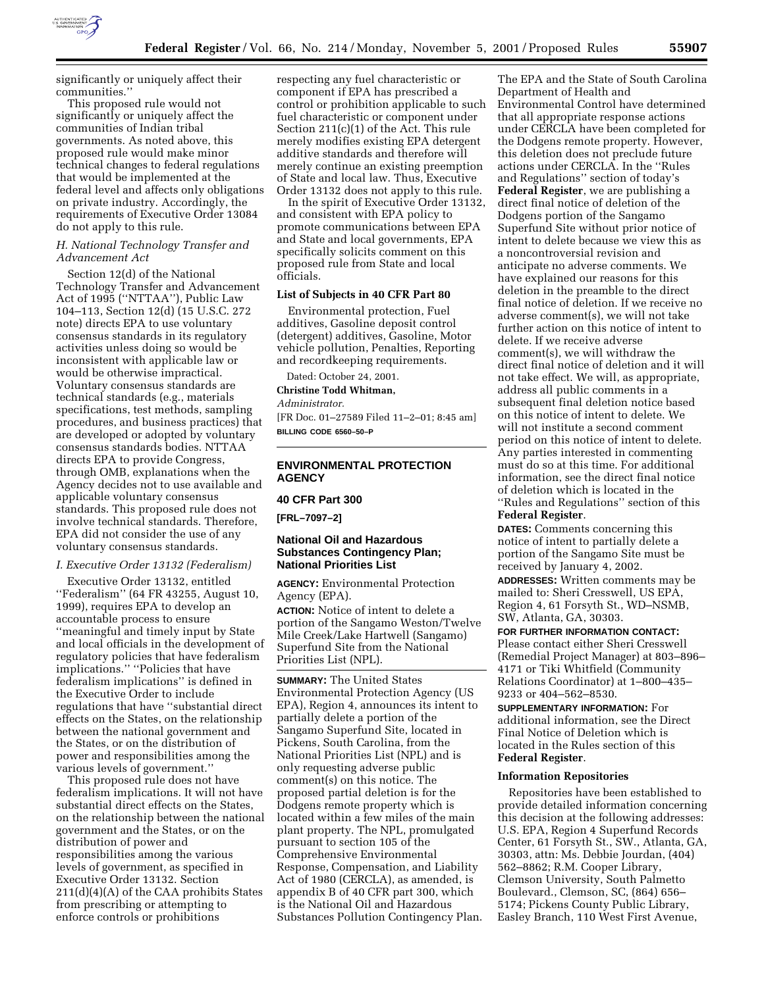

significantly or uniquely affect their communities.''

This proposed rule would not significantly or uniquely affect the communities of Indian tribal governments. As noted above, this proposed rule would make minor technical changes to federal regulations that would be implemented at the federal level and affects only obligations on private industry. Accordingly, the requirements of Executive Order 13084 do not apply to this rule.

## *H. National Technology Transfer and Advancement Act*

Section 12(d) of the National Technology Transfer and Advancement Act of 1995 (''NTTAA''), Public Law 104–113, Section 12(d) (15 U.S.C. 272 note) directs EPA to use voluntary consensus standards in its regulatory activities unless doing so would be inconsistent with applicable law or would be otherwise impractical. Voluntary consensus standards are technical standards (e.g., materials specifications, test methods, sampling procedures, and business practices) that are developed or adopted by voluntary consensus standards bodies. NTTAA directs EPA to provide Congress, through OMB, explanations when the Agency decides not to use available and applicable voluntary consensus standards. This proposed rule does not involve technical standards. Therefore, EPA did not consider the use of any voluntary consensus standards.

#### *I. Executive Order 13132 (Federalism)*

Executive Order 13132, entitled ''Federalism'' (64 FR 43255, August 10, 1999), requires EPA to develop an accountable process to ensure ''meaningful and timely input by State and local officials in the development of regulatory policies that have federalism implications.'' ''Policies that have federalism implications'' is defined in the Executive Order to include regulations that have ''substantial direct effects on the States, on the relationship between the national government and the States, or on the distribution of power and responsibilities among the various levels of government.''

This proposed rule does not have federalism implications. It will not have substantial direct effects on the States, on the relationship between the national government and the States, or on the distribution of power and responsibilities among the various levels of government, as specified in Executive Order 13132. Section 211(d)(4)(A) of the CAA prohibits States from prescribing or attempting to enforce controls or prohibitions

respecting any fuel characteristic or component if EPA has prescribed a control or prohibition applicable to such fuel characteristic or component under Section 211(c)(1) of the Act. This rule merely modifies existing EPA detergent additive standards and therefore will merely continue an existing preemption of State and local law. Thus, Executive Order 13132 does not apply to this rule.

In the spirit of Executive Order 13132, and consistent with EPA policy to promote communications between EPA and State and local governments, EPA specifically solicits comment on this proposed rule from State and local officials.

### **List of Subjects in 40 CFR Part 80**

Environmental protection, Fuel additives, Gasoline deposit control (detergent) additives, Gasoline, Motor vehicle pollution, Penalties, Reporting and recordkeeping requirements.

Dated: October 24, 2001.

**Christine Todd Whitman,**

*Administrator.*

[FR Doc. 01–27589 Filed 11–2–01; 8:45 am] **BILLING CODE 6560–50–P**

### **ENVIRONMENTAL PROTECTION AGENCY**

#### **40 CFR Part 300**

**[FRL–7097–2]**

## **National Oil and Hazardous Substances Contingency Plan; National Priorities List**

**AGENCY:** Environmental Protection Agency (EPA).

**ACTION:** Notice of intent to delete a portion of the Sangamo Weston/Twelve Mile Creek/Lake Hartwell (Sangamo) Superfund Site from the National Priorities List (NPL).

**SUMMARY:** The United States Environmental Protection Agency (US EPA), Region 4, announces its intent to partially delete a portion of the Sangamo Superfund Site, located in Pickens, South Carolina, from the National Priorities List (NPL) and is only requesting adverse public comment(s) on this notice. The proposed partial deletion is for the Dodgens remote property which is located within a few miles of the main plant property. The NPL, promulgated pursuant to section 105 of the Comprehensive Environmental Response, Compensation, and Liability Act of 1980 (CERCLA), as amended, is appendix B of 40 CFR part 300, which is the National Oil and Hazardous Substances Pollution Contingency Plan.

The EPA and the State of South Carolina Department of Health and Environmental Control have determined that all appropriate response actions under CERCLA have been completed for the Dodgens remote property. However, this deletion does not preclude future actions under CERCLA. In the ''Rules and Regulations'' section of today's **Federal Register**, we are publishing a direct final notice of deletion of the Dodgens portion of the Sangamo Superfund Site without prior notice of intent to delete because we view this as a noncontroversial revision and anticipate no adverse comments. We have explained our reasons for this deletion in the preamble to the direct final notice of deletion. If we receive no adverse comment(s), we will not take further action on this notice of intent to delete. If we receive adverse comment(s), we will withdraw the direct final notice of deletion and it will not take effect. We will, as appropriate, address all public comments in a subsequent final deletion notice based on this notice of intent to delete. We will not institute a second comment period on this notice of intent to delete. Any parties interested in commenting must do so at this time. For additional information, see the direct final notice of deletion which is located in the ''Rules and Regulations'' section of this **Federal Register**.

**DATES:** Comments concerning this notice of intent to partially delete a portion of the Sangamo Site must be received by January 4, 2002.

**ADDRESSES:** Written comments may be mailed to: Sheri Cresswell, US EPA, Region 4, 61 Forsyth St., WD–NSMB, SW, Atlanta, GA, 30303.

**FOR FURTHER INFORMATION CONTACT:** Please contact either Sheri Cresswell (Remedial Project Manager) at 803–896– 4171 or Tiki Whitfield (Community Relations Coordinator) at 1–800–435– 9233 or 404–562–8530.

**SUPPLEMENTARY INFORMATION:** For additional information, see the Direct Final Notice of Deletion which is located in the Rules section of this **Federal Register**.

#### **Information Repositories**

Repositories have been established to provide detailed information concerning this decision at the following addresses: U.S. EPA, Region 4 Superfund Records Center, 61 Forsyth St., SW., Atlanta, GA, 30303, attn: Ms. Debbie Jourdan, (404) 562–8862; R.M. Cooper Library, Clemson University, South Palmetto Boulevard., Clemson, SC, (864) 656– 5174; Pickens County Public Library, Easley Branch, 110 West First Avenue,